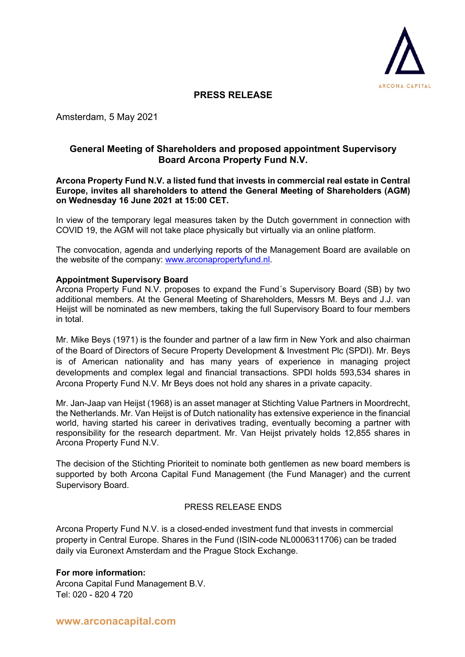

# **PRESS RELEASE**

Amsterdam, 5 May 2021

## **General Meeting of Shareholders and proposed appointment Supervisory Board Arcona Property Fund N.V.**

#### **Arcona Property Fund N.V. a listed fund that invests in commercial real estate in Central Europe, invites all shareholders to attend the General Meeting of Shareholders (AGM) on Wednesday 16 June 2021 at 15:00 CET.**

In view of the temporary legal measures taken by the Dutch government in connection with COVID 19, the AGM will not take place physically but virtually via an online platform.

The convocation, agenda and underlying reports of the Management Board are available on the website of the company: www.arconapropertyfund.nl.

#### **Appointment Supervisory Board**

Arcona Property Fund N.V. proposes to expand the Fund´s Supervisory Board (SB) by two additional members. At the General Meeting of Shareholders, Messrs M. Beys and J.J. van Heijst will be nominated as new members, taking the full Supervisory Board to four members in total.

Mr. Mike Beys (1971) is the founder and partner of a law firm in New York and also chairman of the Board of Directors of Secure Property Development & Investment Plc (SPDI). Mr. Beys is of American nationality and has many years of experience in managing project developments and complex legal and financial transactions. SPDI holds 593,534 shares in Arcona Property Fund N.V. Mr Beys does not hold any shares in a private capacity.

Mr. Jan-Jaap van Heijst (1968) is an asset manager at Stichting Value Partners in Moordrecht, the Netherlands. Mr. Van Heijst is of Dutch nationality has extensive experience in the financial world, having started his career in derivatives trading, eventually becoming a partner with responsibility for the research department. Mr. Van Heijst privately holds 12,855 shares in Arcona Property Fund N.V.

The decision of the Stichting Prioriteit to nominate both gentlemen as new board members is supported by both Arcona Capital Fund Management (the Fund Manager) and the current Supervisory Board.

## PRESS RELEASE ENDS

Arcona Property Fund N.V. is a closed-ended investment fund that invests in commercial property in Central Europe. Shares in the Fund (ISIN-code NL0006311706) can be traded daily via Euronext Amsterdam and the Prague Stock Exchange.

## **For more information:**

Arcona Capital Fund Management B.V. Tel: 020 - 820 4 720